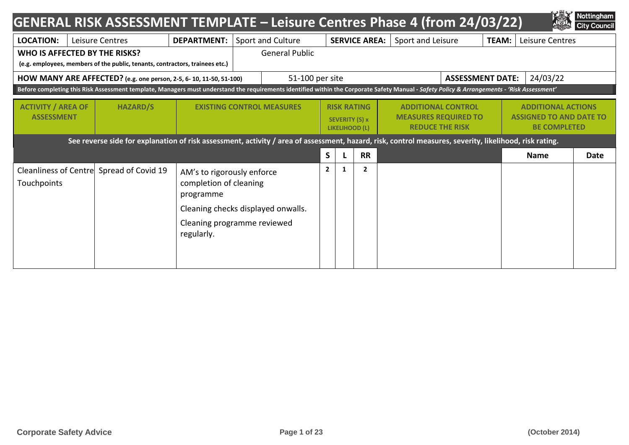|                                                | <b>GENERAL RISK ASSESSMENT TEMPLATE - Leisure Centres Phase 4 (from 24/03/22)</b>                                                                                                           |                                                                                                                                                      |  |                                  |                |                                                               |                      |  |                                                                                    |              |                                                                                    | Nottingham<br><b>City Council</b> |
|------------------------------------------------|---------------------------------------------------------------------------------------------------------------------------------------------------------------------------------------------|------------------------------------------------------------------------------------------------------------------------------------------------------|--|----------------------------------|----------------|---------------------------------------------------------------|----------------------|--|------------------------------------------------------------------------------------|--------------|------------------------------------------------------------------------------------|-----------------------------------|
| <b>LOCATION:</b>                               | Leisure Centres                                                                                                                                                                             | <b>DEPARTMENT:</b>                                                                                                                                   |  | Sport and Culture                |                |                                                               | <b>SERVICE AREA:</b> |  | Sport and Leisure                                                                  | <b>TEAM:</b> | Leisure Centres                                                                    |                                   |
|                                                | WHO IS AFFECTED BY THE RISKS?<br>(e.g. employees, members of the public, tenants, contractors, trainees etc.)                                                                               |                                                                                                                                                      |  | <b>General Public</b>            |                |                                                               |                      |  |                                                                                    |              |                                                                                    |                                   |
|                                                | HOW MANY ARE AFFECTED? (e.g. one person, 2-5, 6-10, 11-50, 51-100)                                                                                                                          |                                                                                                                                                      |  | 51-100 per site                  |                |                                                               |                      |  | <b>ASSESSMENT DATE:</b>                                                            |              | 24/03/22                                                                           |                                   |
|                                                | Before completing this Risk Assessment template, Managers must understand the requirements identified within the Corporate Safety Manual - Safety Policy & Arrangements - 'Risk Assessment' |                                                                                                                                                      |  |                                  |                |                                                               |                      |  |                                                                                    |              |                                                                                    |                                   |
| <b>ACTIVITY / AREA OF</b><br><b>ASSESSMENT</b> | <b>HAZARD/S</b>                                                                                                                                                                             |                                                                                                                                                      |  | <b>EXISTING CONTROL MEASURES</b> |                | <b>RISK RATING</b><br>SEVERITY (S) x<br><b>LIKELIHOOD (L)</b> |                      |  | <b>ADDITIONAL CONTROL</b><br><b>MEASURES REQUIRED TO</b><br><b>REDUCE THE RISK</b> |              | <b>ADDITIONAL ACTIONS</b><br><b>ASSIGNED TO AND DATE TO</b><br><b>BE COMPLETED</b> |                                   |
|                                                | See reverse side for explanation of risk assessment, activity / area of assessment, hazard, risk, control measures, severity, likelihood, risk rating.                                      |                                                                                                                                                      |  |                                  |                |                                                               |                      |  |                                                                                    |              |                                                                                    |                                   |
|                                                |                                                                                                                                                                                             |                                                                                                                                                      |  |                                  | S              |                                                               | <b>RR</b>            |  |                                                                                    |              | <b>Name</b>                                                                        | Date                              |
| Touchpoints                                    | Cleanliness of Centre Spread of Covid 19                                                                                                                                                    | AM's to rigorously enforce<br>completion of cleaning<br>programme<br>Cleaning checks displayed onwalls.<br>Cleaning programme reviewed<br>regularly. |  |                                  | $\overline{2}$ | 1                                                             | $\overline{2}$       |  |                                                                                    |              |                                                                                    |                                   |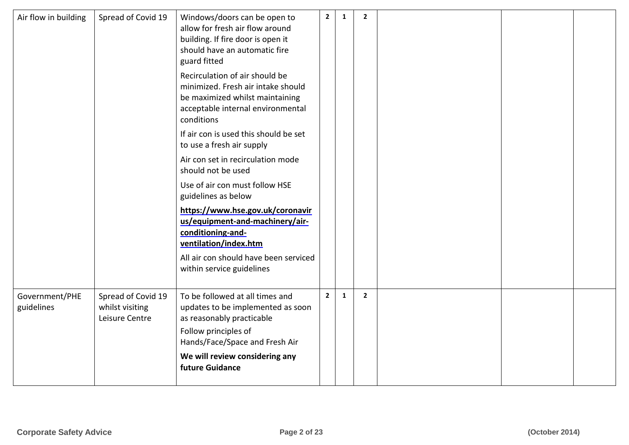| Air flow in building         | Spread of Covid 19                                      | Windows/doors can be open to<br>allow for fresh air flow around<br>building. If fire door is open it<br>should have an automatic fire<br>guard fitted                                         | $\overline{2}$ | $\mathbf{1}$ | $\overline{2}$ |  |  |
|------------------------------|---------------------------------------------------------|-----------------------------------------------------------------------------------------------------------------------------------------------------------------------------------------------|----------------|--------------|----------------|--|--|
|                              |                                                         | Recirculation of air should be<br>minimized. Fresh air intake should<br>be maximized whilst maintaining<br>acceptable internal environmental<br>conditions                                    |                |              |                |  |  |
|                              |                                                         | If air con is used this should be set<br>to use a fresh air supply                                                                                                                            |                |              |                |  |  |
|                              |                                                         | Air con set in recirculation mode<br>should not be used                                                                                                                                       |                |              |                |  |  |
|                              |                                                         | Use of air con must follow HSE<br>guidelines as below                                                                                                                                         |                |              |                |  |  |
|                              |                                                         | https://www.hse.gov.uk/coronavir<br>us/equipment-and-machinery/air-<br>conditioning-and<br>ventilation/index.htm<br>All air con should have been serviced<br>within service guidelines        |                |              |                |  |  |
| Government/PHE<br>guidelines | Spread of Covid 19<br>whilst visiting<br>Leisure Centre | To be followed at all times and<br>updates to be implemented as soon<br>as reasonably practicable<br>Follow principles of<br>Hands/Face/Space and Fresh Air<br>We will review considering any | $\overline{2}$ | $\mathbf{1}$ | $\overline{2}$ |  |  |
|                              |                                                         | future Guidance                                                                                                                                                                               |                |              |                |  |  |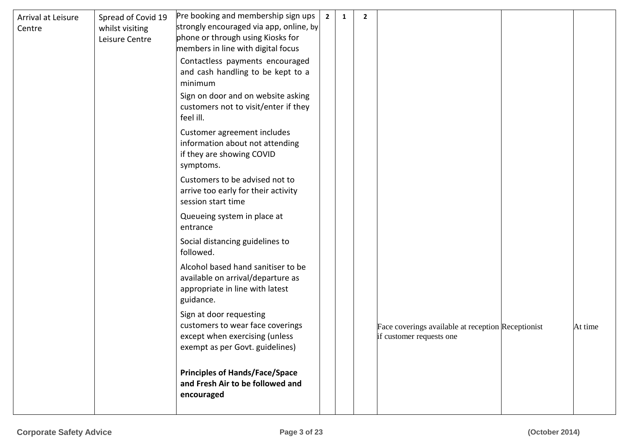| Arrival at Leisure<br>Centre | Spread of Covid 19<br>whilst visiting<br>Leisure Centre | Pre booking and membership sign ups<br>strongly encouraged via app, online, by<br>phone or through using Kiosks for<br>members in line with digital focus<br>Contactless payments encouraged | $\overline{2}$ | 1 | $\mathbf{2}$ |                                                                                |         |
|------------------------------|---------------------------------------------------------|----------------------------------------------------------------------------------------------------------------------------------------------------------------------------------------------|----------------|---|--------------|--------------------------------------------------------------------------------|---------|
|                              |                                                         | and cash handling to be kept to a<br>minimum                                                                                                                                                 |                |   |              |                                                                                |         |
|                              |                                                         | Sign on door and on website asking<br>customers not to visit/enter if they<br>feel ill.                                                                                                      |                |   |              |                                                                                |         |
|                              |                                                         | Customer agreement includes<br>information about not attending<br>if they are showing COVID<br>symptoms.                                                                                     |                |   |              |                                                                                |         |
|                              |                                                         | Customers to be advised not to<br>arrive too early for their activity<br>session start time                                                                                                  |                |   |              |                                                                                |         |
|                              |                                                         | Queueing system in place at<br>entrance                                                                                                                                                      |                |   |              |                                                                                |         |
|                              |                                                         | Social distancing guidelines to<br>followed.                                                                                                                                                 |                |   |              |                                                                                |         |
|                              |                                                         | Alcohol based hand sanitiser to be<br>available on arrival/departure as<br>appropriate in line with latest<br>guidance.                                                                      |                |   |              |                                                                                |         |
|                              |                                                         | Sign at door requesting<br>customers to wear face coverings<br>except when exercising (unless<br>exempt as per Govt. guidelines)                                                             |                |   |              | Face coverings available at reception Receptionist<br>if customer requests one | At time |
|                              |                                                         | <b>Principles of Hands/Face/Space</b><br>and Fresh Air to be followed and<br>encouraged                                                                                                      |                |   |              |                                                                                |         |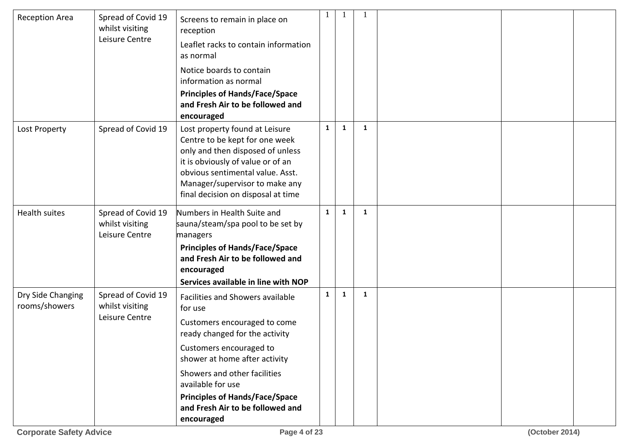| <b>Reception Area</b>              | Spread of Covid 19<br>whilst visiting<br>Leisure Centre | Screens to remain in place on<br>reception<br>Leaflet racks to contain information<br>as normal<br>Notice boards to contain<br>information as normal<br><b>Principles of Hands/Face/Space</b><br>and Fresh Air to be followed and<br>encouraged                                                                           |              |              |   |  |  |
|------------------------------------|---------------------------------------------------------|---------------------------------------------------------------------------------------------------------------------------------------------------------------------------------------------------------------------------------------------------------------------------------------------------------------------------|--------------|--------------|---|--|--|
| Lost Property                      | Spread of Covid 19                                      | Lost property found at Leisure<br>Centre to be kept for one week<br>only and then disposed of unless<br>it is obviously of value or of an<br>obvious sentimental value. Asst.<br>Manager/supervisor to make any<br>final decision on disposal at time                                                                     | $\mathbf{1}$ | $\mathbf{1}$ | 1 |  |  |
| <b>Health suites</b>               | Spread of Covid 19<br>whilst visiting<br>Leisure Centre | Numbers in Health Suite and<br>sauna/steam/spa pool to be set by<br>managers<br><b>Principles of Hands/Face/Space</b><br>and Fresh Air to be followed and<br>encouraged<br>Services available in line with NOP                                                                                                            | $\mathbf{1}$ | 1            | 1 |  |  |
| Dry Side Changing<br>rooms/showers | Spread of Covid 19<br>whilst visiting<br>Leisure Centre | Facilities and Showers available<br>for use<br>Customers encouraged to come<br>ready changed for the activity<br>Customers encouraged to<br>shower at home after activity<br>Showers and other facilities<br>available for use<br><b>Principles of Hands/Face/Space</b><br>and Fresh Air to be followed and<br>encouraged | $\mathbf{1}$ | $\mathbf{1}$ | 1 |  |  |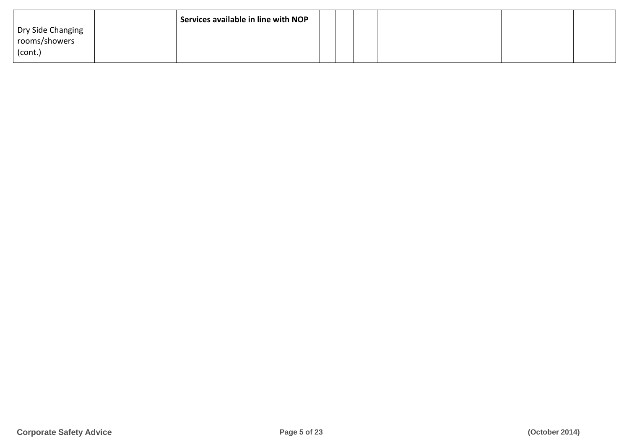|                                               | Services available in line with NOP |  |  |  |
|-----------------------------------------------|-------------------------------------|--|--|--|
| Dry Side Changing<br>rooms/showers<br>(cont.) |                                     |  |  |  |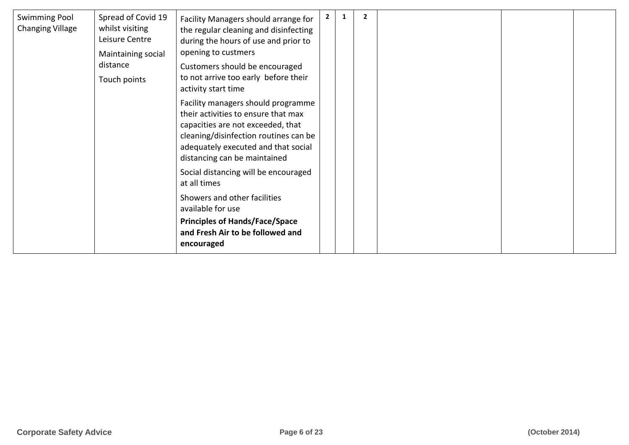| <b>Swimming Pool</b><br><b>Changing Village</b> | Spread of Covid 19<br>whilst visiting<br>Leisure Centre<br>Maintaining social | Facility Managers should arrange for<br>the regular cleaning and disinfecting<br>during the hours of use and prior to<br>opening to custmers                                                                                   | $\mathbf{2}$ | 2 |  |  |
|-------------------------------------------------|-------------------------------------------------------------------------------|--------------------------------------------------------------------------------------------------------------------------------------------------------------------------------------------------------------------------------|--------------|---|--|--|
|                                                 | distance<br>Touch points                                                      | Customers should be encouraged<br>to not arrive too early before their<br>activity start time                                                                                                                                  |              |   |  |  |
|                                                 |                                                                               | Facility managers should programme<br>their activities to ensure that max<br>capacities are not exceeded, that<br>cleaning/disinfection routines can be<br>adequately executed and that social<br>distancing can be maintained |              |   |  |  |
|                                                 |                                                                               | Social distancing will be encouraged<br>at all times                                                                                                                                                                           |              |   |  |  |
|                                                 |                                                                               | Showers and other facilities<br>available for use                                                                                                                                                                              |              |   |  |  |
|                                                 |                                                                               | <b>Principles of Hands/Face/Space</b><br>and Fresh Air to be followed and<br>encouraged                                                                                                                                        |              |   |  |  |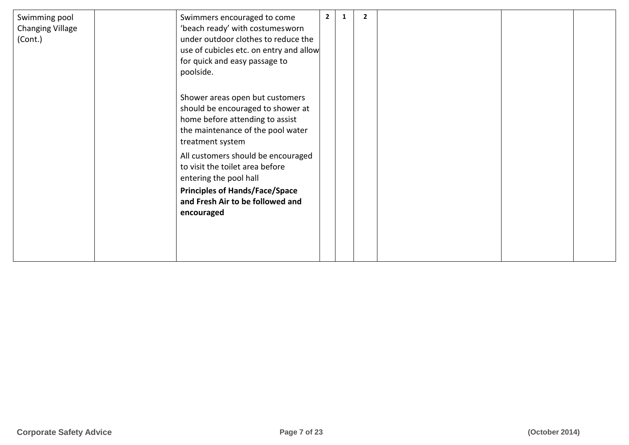| Swimming pool<br><b>Changing Village</b><br>(Cont.) | Swimmers encouraged to come<br>'beach ready' with costumesworn<br>under outdoor clothes to reduce the<br>use of cubicles etc. on entry and allow<br>for quick and easy passage to<br>poolside. | $\overline{2}$ | 1 | 2 |  |  |
|-----------------------------------------------------|------------------------------------------------------------------------------------------------------------------------------------------------------------------------------------------------|----------------|---|---|--|--|
|                                                     | Shower areas open but customers<br>should be encouraged to shower at<br>home before attending to assist<br>the maintenance of the pool water<br>treatment system                               |                |   |   |  |  |
|                                                     | All customers should be encouraged<br>to visit the toilet area before<br>entering the pool hall<br><b>Principles of Hands/Face/Space</b><br>and Fresh Air to be followed and<br>encouraged     |                |   |   |  |  |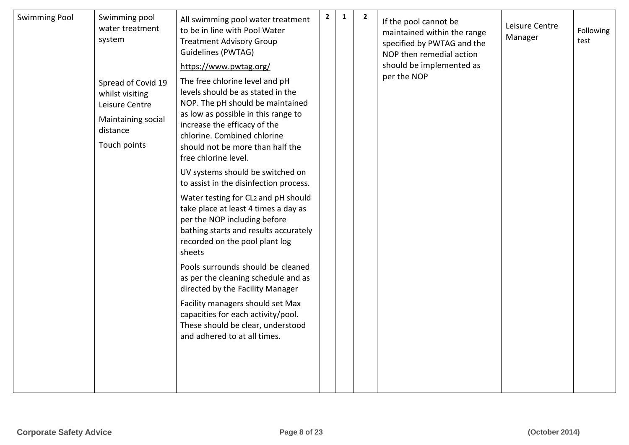| <b>Swimming Pool</b> | Swimming pool<br>water treatment<br>system<br>Spread of Covid 19<br>whilst visiting<br>Leisure Centre<br>Maintaining social<br>distance<br>Touch points | All swimming pool water treatment<br>to be in line with Pool Water<br><b>Treatment Advisory Group</b><br>Guidelines (PWTAG)<br>https://www.pwtag.org/<br>The free chlorine level and pH<br>levels should be as stated in the<br>NOP. The pH should be maintained<br>as low as possible in this range to<br>increase the efficacy of the<br>chlorine. Combined chlorine<br>should not be more than half the<br>free chlorine level.<br>UV systems should be switched on<br>to assist in the disinfection process. | $\overline{2}$ | $\mathbf 1$ | $\overline{2}$ | If the pool cannot be<br>maintained within the range<br>specified by PWTAG and the<br>NOP then remedial action<br>should be implemented as<br>per the NOP | Leisure Centre<br>Manager | Following<br>test |
|----------------------|---------------------------------------------------------------------------------------------------------------------------------------------------------|------------------------------------------------------------------------------------------------------------------------------------------------------------------------------------------------------------------------------------------------------------------------------------------------------------------------------------------------------------------------------------------------------------------------------------------------------------------------------------------------------------------|----------------|-------------|----------------|-----------------------------------------------------------------------------------------------------------------------------------------------------------|---------------------------|-------------------|
|                      |                                                                                                                                                         | Water testing for CL2 and pH should<br>take place at least 4 times a day as<br>per the NOP including before<br>bathing starts and results accurately<br>recorded on the pool plant log<br>sheets<br>Pools surrounds should be cleaned<br>as per the cleaning schedule and as<br>directed by the Facility Manager<br>Facility managers should set Max<br>capacities for each activity/pool.<br>These should be clear, understood<br>and adhered to at all times.                                                  |                |             |                |                                                                                                                                                           |                           |                   |
|                      |                                                                                                                                                         |                                                                                                                                                                                                                                                                                                                                                                                                                                                                                                                  |                |             |                |                                                                                                                                                           |                           |                   |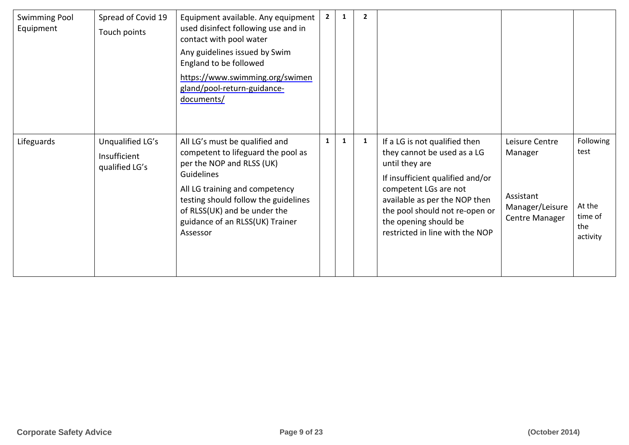| <b>Swimming Pool</b><br>Equipment | Spread of Covid 19<br>Touch points                 | Equipment available. Any equipment<br>used disinfect following use and in<br>contact with pool water<br>Any guidelines issued by Swim<br>England to be followed<br>https://www.swimming.org/swimen<br>gland/pool-return-guidance-<br>documents/                          | $\mathbf{2}$ | 1            | 2 |                                                                                                                                                                                                                                                                            |                                                                             |                                                           |
|-----------------------------------|----------------------------------------------------|--------------------------------------------------------------------------------------------------------------------------------------------------------------------------------------------------------------------------------------------------------------------------|--------------|--------------|---|----------------------------------------------------------------------------------------------------------------------------------------------------------------------------------------------------------------------------------------------------------------------------|-----------------------------------------------------------------------------|-----------------------------------------------------------|
| Lifeguards                        | Unqualified LG's<br>Insufficient<br>qualified LG's | All LG's must be qualified and<br>competent to lifeguard the pool as<br>per the NOP and RLSS (UK)<br>Guidelines<br>All LG training and competency<br>testing should follow the guidelines<br>of RLSS(UK) and be under the<br>guidance of an RLSS(UK) Trainer<br>Assessor | $\mathbf{1}$ | $\mathbf{1}$ | 1 | If a LG is not qualified then<br>they cannot be used as a LG<br>until they are<br>If insufficient qualified and/or<br>competent LGs are not<br>available as per the NOP then<br>the pool should not re-open or<br>the opening should be<br>restricted in line with the NOP | Leisure Centre<br>Manager<br>Assistant<br>Manager/Leisure<br>Centre Manager | Following<br>test<br>At the<br>time of<br>the<br>activity |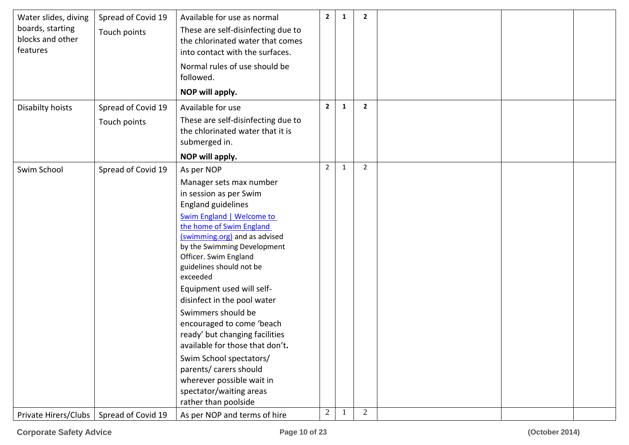| Water slides, diving<br>boards, starting<br>blocks and other<br>features | Spread of Covid 19<br>Touch points | Available for use as normal<br>These are self-disinfecting due to<br>the chlorinated water that comes<br>into contact with the surfaces.<br>Normal rules of use should be<br>followed.<br>NOP will apply.                                                                                                                                                                                                                                                                                                                                                                                                              | $\mathbf{2}$   | 1            | $\mathbf{2}$   |  |  |
|--------------------------------------------------------------------------|------------------------------------|------------------------------------------------------------------------------------------------------------------------------------------------------------------------------------------------------------------------------------------------------------------------------------------------------------------------------------------------------------------------------------------------------------------------------------------------------------------------------------------------------------------------------------------------------------------------------------------------------------------------|----------------|--------------|----------------|--|--|
| Disabilty hoists                                                         | Spread of Covid 19<br>Touch points | Available for use<br>These are self-disinfecting due to<br>the chlorinated water that it is<br>submerged in.<br>NOP will apply.                                                                                                                                                                                                                                                                                                                                                                                                                                                                                        | $\mathbf{2}$   | 1            | $\overline{2}$ |  |  |
| Swim School                                                              | Spread of Covid 19                 | As per NOP<br>Manager sets max number<br>in session as per Swim<br><b>England guidelines</b><br><b>Swim England   Welcome to</b><br>the home of Swim England<br>(swimming.org) and as advised<br>by the Swimming Development<br>Officer. Swim England<br>guidelines should not be<br>exceeded<br>Equipment used will self-<br>disinfect in the pool water<br>Swimmers should be<br>encouraged to come 'beach<br>ready' but changing facilities<br>available for those that don't.<br>Swim School spectators/<br>parents/ carers should<br>wherever possible wait in<br>spectator/waiting areas<br>rather than poolside | $\overline{2}$ | $\mathbf{1}$ | $\overline{2}$ |  |  |
| Private Hirers/Clubs                                                     | Spread of Covid 19                 | As per NOP and terms of hire                                                                                                                                                                                                                                                                                                                                                                                                                                                                                                                                                                                           | $\overline{2}$ |              | $\overline{2}$ |  |  |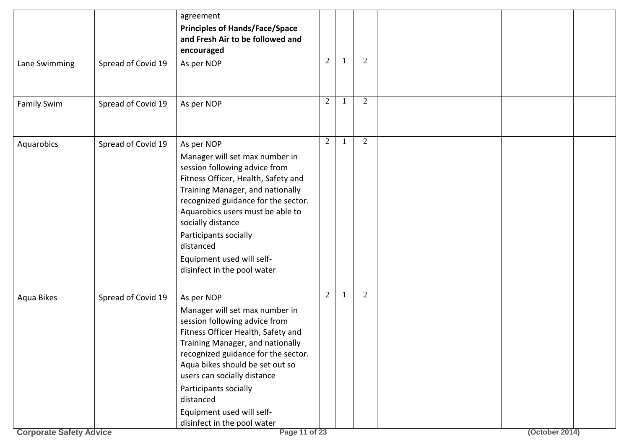|                                              |                    | agreement<br><b>Principles of Hands/Face/Space</b>                                                                                                                                                                                                                                                                                                                                  |                |                |                |  |
|----------------------------------------------|--------------------|-------------------------------------------------------------------------------------------------------------------------------------------------------------------------------------------------------------------------------------------------------------------------------------------------------------------------------------------------------------------------------------|----------------|----------------|----------------|--|
|                                              |                    | and Fresh Air to be followed and<br>encouraged                                                                                                                                                                                                                                                                                                                                      |                |                |                |  |
| Lane Swimming                                | Spread of Covid 19 | As per NOP                                                                                                                                                                                                                                                                                                                                                                          | 2              | $\overline{2}$ |                |  |
| Family Swim                                  | Spread of Covid 19 | As per NOP                                                                                                                                                                                                                                                                                                                                                                          | 2              | $\overline{2}$ |                |  |
| Aquarobics                                   | Spread of Covid 19 | As per NOP<br>Manager will set max number in<br>session following advice from<br>Fitness Officer, Health, Safety and<br>Training Manager, and nationally<br>recognized guidance for the sector.<br>Aquarobics users must be able to<br>socially distance<br>Participants socially<br>distanced<br>Equipment used will self-<br>disinfect in the pool water                          | $\overline{2}$ | $\overline{2}$ |                |  |
| Aqua Bikes<br><b>Corporate Safety Advice</b> | Spread of Covid 19 | As per NOP<br>Manager will set max number in<br>session following advice from<br>Fitness Officer Health, Safety and<br>Training Manager, and nationally<br>recognized guidance for the sector.<br>Aqua bikes should be set out so<br>users can socially distance<br>Participants socially<br>distanced<br>Equipment used will self-<br>disinfect in the pool water<br>Page 11 of 23 | 2              | 2              | (October 2014) |  |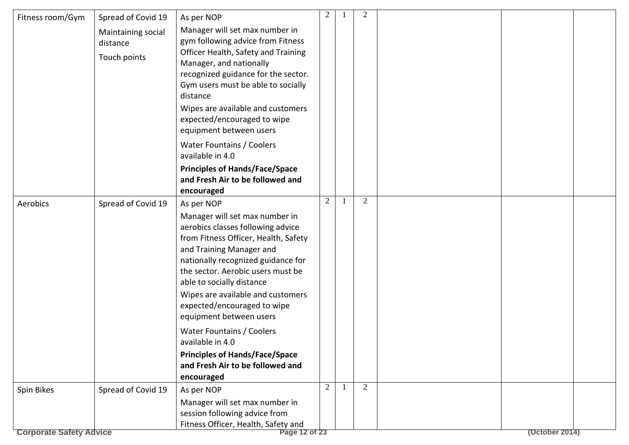| Fitness room/Gym               | Spread of Covid 19                             | As per NOP                                                                                                                                                                                                                                                                                                                    | 2 | $\overline{2}$ |                |  |
|--------------------------------|------------------------------------------------|-------------------------------------------------------------------------------------------------------------------------------------------------------------------------------------------------------------------------------------------------------------------------------------------------------------------------------|---|----------------|----------------|--|
|                                | Maintaining social<br>distance<br>Touch points | Manager will set max number in<br>gym following advice from Fitness<br>Officer Health, Safety and Training<br>Manager, and nationally<br>recognized guidance for the sector.<br>Gym users must be able to socially<br>distance<br>Wipes are available and customers<br>expected/encouraged to wipe<br>equipment between users |   |                |                |  |
|                                |                                                | <b>Water Fountains / Coolers</b><br>available in 4.0                                                                                                                                                                                                                                                                          |   |                |                |  |
|                                |                                                | <b>Principles of Hands/Face/Space</b><br>and Fresh Air to be followed and<br>encouraged                                                                                                                                                                                                                                       |   |                |                |  |
| Aerobics                       | Spread of Covid 19                             | As per NOP                                                                                                                                                                                                                                                                                                                    | 2 | 2              |                |  |
|                                |                                                | Manager will set max number in<br>aerobics classes following advice<br>from Fitness Officer, Health, Safety<br>and Training Manager and<br>nationally recognized guidance for<br>the sector. Aerobic users must be<br>able to socially distance                                                                               |   |                |                |  |
|                                |                                                | Wipes are available and customers<br>expected/encouraged to wipe<br>equipment between users                                                                                                                                                                                                                                   |   |                |                |  |
|                                |                                                | <b>Water Fountains / Coolers</b><br>available in 4.0                                                                                                                                                                                                                                                                          |   |                |                |  |
|                                |                                                | <b>Principles of Hands/Face/Space</b><br>and Fresh Air to be followed and                                                                                                                                                                                                                                                     |   |                |                |  |
|                                |                                                | encouraged                                                                                                                                                                                                                                                                                                                    |   |                |                |  |
| Spin Bikes                     | Spread of Covid 19                             | As per NOP                                                                                                                                                                                                                                                                                                                    | 2 | 2              |                |  |
|                                |                                                | Manager will set max number in<br>session following advice from<br>Fitness Officer, Health, Safety and                                                                                                                                                                                                                        |   |                |                |  |
| <b>Corporate Safety Advice</b> |                                                | Page 12 of 23                                                                                                                                                                                                                                                                                                                 |   |                | (October 2014) |  |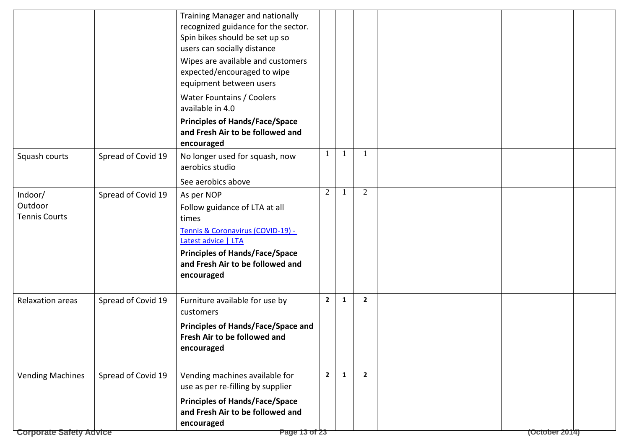|                                            |                    | Training Manager and nationally<br>recognized guidance for the sector.<br>Spin bikes should be set up so<br>users can socially distance<br>Wipes are available and customers<br>expected/encouraged to wipe<br>equipment between users<br>Water Fountains / Coolers<br>available in 4.0<br><b>Principles of Hands/Face/Space</b><br>and Fresh Air to be followed and<br>encouraged |                |              |                |                |  |
|--------------------------------------------|--------------------|------------------------------------------------------------------------------------------------------------------------------------------------------------------------------------------------------------------------------------------------------------------------------------------------------------------------------------------------------------------------------------|----------------|--------------|----------------|----------------|--|
| Squash courts                              | Spread of Covid 19 | No longer used for squash, now<br>aerobics studio                                                                                                                                                                                                                                                                                                                                  | 1              | 1            | $\overline{1}$ |                |  |
|                                            |                    | See aerobics above                                                                                                                                                                                                                                                                                                                                                                 |                |              |                |                |  |
| Indoor/<br>Outdoor<br><b>Tennis Courts</b> | Spread of Covid 19 | As per NOP<br>Follow guidance of LTA at all<br>times<br>Tennis & Coronavirus (COVID-19) -<br>Latest advice   LTA<br><b>Principles of Hands/Face/Space</b><br>and Fresh Air to be followed and<br>encouraged                                                                                                                                                                        | $\overline{2}$ |              | 2              |                |  |
| <b>Relaxation areas</b>                    | Spread of Covid 19 | Furniture available for use by<br>customers<br><b>Principles of Hands/Face/Space and</b><br>Fresh Air to be followed and<br>encouraged                                                                                                                                                                                                                                             | $2^{\circ}$    | $\mathbf{1}$ | $\mathbf{2}$   |                |  |
| <b>Vending Machines</b>                    | Spread of Covid 19 | Vending machines available for<br>use as per re-filling by supplier<br><b>Principles of Hands/Face/Space</b><br>and Fresh Air to be followed and                                                                                                                                                                                                                                   | $\overline{2}$ | $\mathbf{1}$ | $\overline{2}$ |                |  |
|                                            |                    | encouraged                                                                                                                                                                                                                                                                                                                                                                         |                |              |                |                |  |
| <b>Corporate Safety Advice</b>             |                    | Page 13 of 23                                                                                                                                                                                                                                                                                                                                                                      |                |              |                | (October 2014) |  |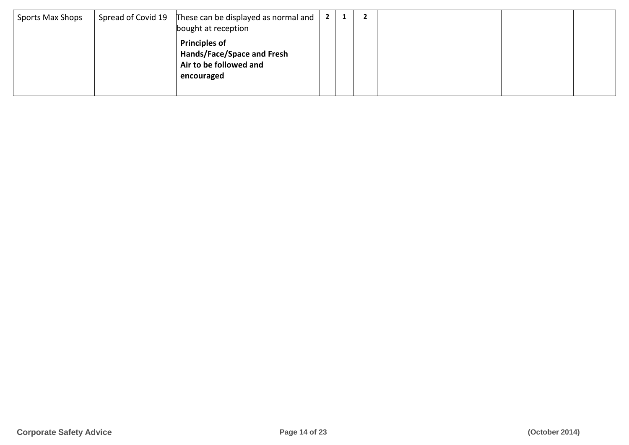| Sports Max Shops | Spread of Covid 19 These can be displayed as normal and  <br>bought at reception           | 2 <sup>1</sup> |  |  |  |
|------------------|--------------------------------------------------------------------------------------------|----------------|--|--|--|
|                  | <b>Principles of</b><br>Hands/Face/Space and Fresh<br>Air to be followed and<br>encouraged |                |  |  |  |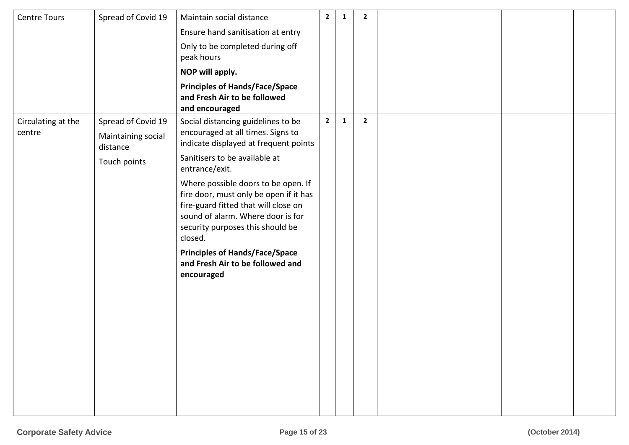| <b>Centre Tours</b>          | Spread of Covid 19                                                   | Maintain social distance                                                                                                                                                                                                                                                                                                                                                                                                                                                    | $\mathbf{2}$   | 1 | $\overline{2}$ |  |  |
|------------------------------|----------------------------------------------------------------------|-----------------------------------------------------------------------------------------------------------------------------------------------------------------------------------------------------------------------------------------------------------------------------------------------------------------------------------------------------------------------------------------------------------------------------------------------------------------------------|----------------|---|----------------|--|--|
|                              |                                                                      | Ensure hand sanitisation at entry                                                                                                                                                                                                                                                                                                                                                                                                                                           |                |   |                |  |  |
|                              |                                                                      | Only to be completed during off<br>peak hours                                                                                                                                                                                                                                                                                                                                                                                                                               |                |   |                |  |  |
|                              |                                                                      | NOP will apply.                                                                                                                                                                                                                                                                                                                                                                                                                                                             |                |   |                |  |  |
|                              |                                                                      | <b>Principles of Hands/Face/Space</b><br>and Fresh Air to be followed<br>and encouraged                                                                                                                                                                                                                                                                                                                                                                                     |                |   |                |  |  |
| Circulating at the<br>centre | Spread of Covid 19<br>Maintaining social<br>distance<br>Touch points | Social distancing guidelines to be<br>encouraged at all times. Signs to<br>indicate displayed at frequent points<br>Sanitisers to be available at<br>entrance/exit.<br>Where possible doors to be open. If<br>fire door, must only be open if it has<br>fire-guard fitted that will close on<br>sound of alarm. Where door is for<br>security purposes this should be<br>closed.<br><b>Principles of Hands/Face/Space</b><br>and Fresh Air to be followed and<br>encouraged | $\overline{2}$ | 1 | $\overline{2}$ |  |  |
|                              |                                                                      |                                                                                                                                                                                                                                                                                                                                                                                                                                                                             |                |   |                |  |  |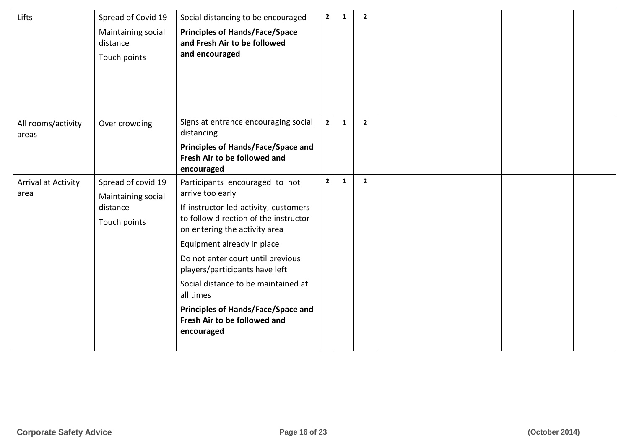| Lifts                              | Spread of Covid 19<br>Maintaining social<br>distance<br>Touch points | Social distancing to be encouraged<br><b>Principles of Hands/Face/Space</b><br>and Fresh Air to be followed<br>and encouraged                                                                                                                                                                                                                                                                                             | $2^{\circ}$    | $\mathbf{1}$ | $\overline{2}$ |  |  |
|------------------------------------|----------------------------------------------------------------------|---------------------------------------------------------------------------------------------------------------------------------------------------------------------------------------------------------------------------------------------------------------------------------------------------------------------------------------------------------------------------------------------------------------------------|----------------|--------------|----------------|--|--|
| All rooms/activity<br>areas        | Over crowding                                                        | Signs at entrance encouraging social<br>distancing<br><b>Principles of Hands/Face/Space and</b><br>Fresh Air to be followed and<br>encouraged                                                                                                                                                                                                                                                                             | $2^{\circ}$    | $\mathbf{1}$ | $\overline{2}$ |  |  |
| <b>Arrival at Activity</b><br>area | Spread of covid 19<br>Maintaining social<br>distance<br>Touch points | Participants encouraged to not<br>arrive too early<br>If instructor led activity, customers<br>to follow direction of the instructor<br>on entering the activity area<br>Equipment already in place<br>Do not enter court until previous<br>players/participants have left<br>Social distance to be maintained at<br>all times<br><b>Principles of Hands/Face/Space and</b><br>Fresh Air to be followed and<br>encouraged | 2 <sup>7</sup> | $\mathbf{1}$ | $\overline{2}$ |  |  |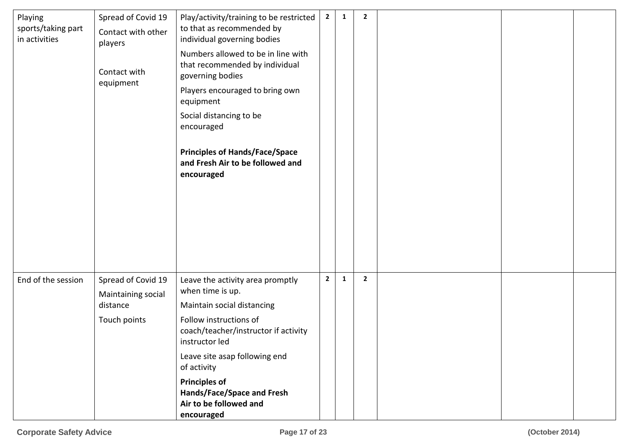| Playing<br>sports/taking part<br>in activities | Spread of Covid 19<br>Contact with other<br>players<br>Contact with<br>equipment | Play/activity/training to be restricted<br>to that as recommended by<br>individual governing bodies<br>Numbers allowed to be in line with<br>that recommended by individual<br>governing bodies<br>Players encouraged to bring own<br>equipment<br>Social distancing to be<br>encouraged<br><b>Principles of Hands/Face/Space</b><br>and Fresh Air to be followed and<br>encouraged | $\overline{2}$ | $\mathbf{1}$ | $\overline{\mathbf{2}}$ |  |  |
|------------------------------------------------|----------------------------------------------------------------------------------|-------------------------------------------------------------------------------------------------------------------------------------------------------------------------------------------------------------------------------------------------------------------------------------------------------------------------------------------------------------------------------------|----------------|--------------|-------------------------|--|--|
| End of the session                             | Spread of Covid 19<br>Maintaining social<br>distance<br>Touch points             | Leave the activity area promptly<br>when time is up.<br>Maintain social distancing<br>Follow instructions of<br>coach/teacher/instructor if activity<br>instructor led<br>Leave site asap following end<br>of activity<br><b>Principles of</b><br>Hands/Face/Space and Fresh<br>Air to be followed and<br>encouraged                                                                | $\mathbf{2}$   | $\mathbf{1}$ | $\overline{2}$          |  |  |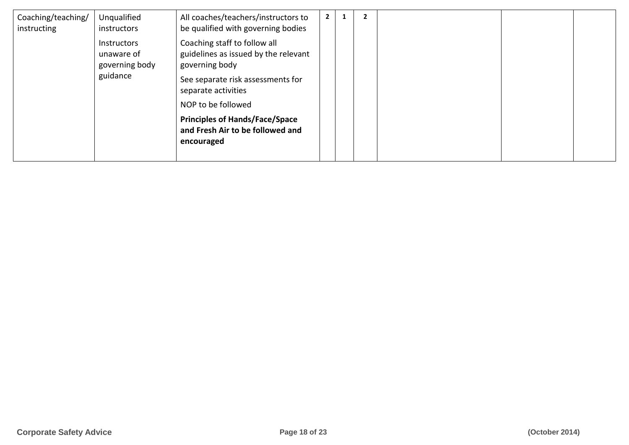| Coaching/teaching/<br>instructing | Unqualified<br>instructors                         | All coaches/teachers/instructors to<br>be qualified with governing bodies               |  |  |  |
|-----------------------------------|----------------------------------------------------|-----------------------------------------------------------------------------------------|--|--|--|
|                                   | <b>Instructors</b><br>unaware of<br>governing body | Coaching staff to follow all<br>guidelines as issued by the relevant<br>governing body  |  |  |  |
|                                   | guidance                                           | See separate risk assessments for<br>separate activities                                |  |  |  |
|                                   |                                                    | NOP to be followed                                                                      |  |  |  |
|                                   |                                                    | <b>Principles of Hands/Face/Space</b><br>and Fresh Air to be followed and<br>encouraged |  |  |  |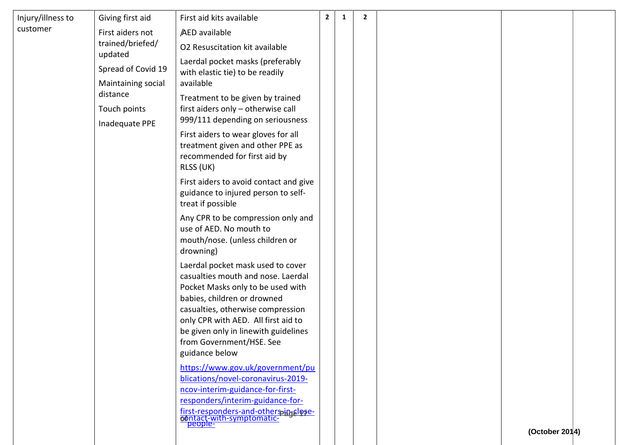| Injury/illness to | Giving first aid               | First aid kits available                                                                                                                                                                                                                                                                                      | $\mathbf{2}$ | 1 | $\overline{2}$ |                |  |
|-------------------|--------------------------------|---------------------------------------------------------------------------------------------------------------------------------------------------------------------------------------------------------------------------------------------------------------------------------------------------------------|--------------|---|----------------|----------------|--|
| customer          | First aiders not               | AED available                                                                                                                                                                                                                                                                                                 |              |   |                |                |  |
|                   | trained/briefed/               | O2 Resuscitation kit available                                                                                                                                                                                                                                                                                |              |   |                |                |  |
|                   | updated                        | Laerdal pocket masks (preferably                                                                                                                                                                                                                                                                              |              |   |                |                |  |
|                   | Spread of Covid 19             | with elastic tie) to be readily                                                                                                                                                                                                                                                                               |              |   |                |                |  |
|                   | Maintaining social<br>distance | available                                                                                                                                                                                                                                                                                                     |              |   |                |                |  |
|                   | Touch points                   | Treatment to be given by trained<br>first aiders only - otherwise call                                                                                                                                                                                                                                        |              |   |                |                |  |
|                   | Inadequate PPE                 | 999/111 depending on seriousness                                                                                                                                                                                                                                                                              |              |   |                |                |  |
|                   |                                | First aiders to wear gloves for all<br>treatment given and other PPE as<br>recommended for first aid by<br>RLSS (UK)                                                                                                                                                                                          |              |   |                |                |  |
|                   |                                | First aiders to avoid contact and give<br>guidance to injured person to self-<br>treat if possible                                                                                                                                                                                                            |              |   |                |                |  |
|                   |                                | Any CPR to be compression only and<br>use of AED. No mouth to<br>mouth/nose. (unless children or<br>drowning)                                                                                                                                                                                                 |              |   |                |                |  |
|                   |                                | Laerdal pocket mask used to cover<br>casualties mouth and nose. Laerdal<br>Pocket Masks only to be used with<br>babies, children or drowned<br>casualties, otherwise compression<br>only CPR with AED. All first aid to<br>be given only in linewith guidelines<br>from Government/HSE. See<br>guidance below |              |   |                |                |  |
|                   |                                | https://www.gov.uk/government/pu<br>blications/novel-coronavirus-2019-<br>ncov-interim-guidance-for-first-<br>responders/interim-guidance-for-<br>first-responders-and-otherspingslose-<br>contact-with-symptomatic-<br>people-                                                                               |              |   |                | (October 2014) |  |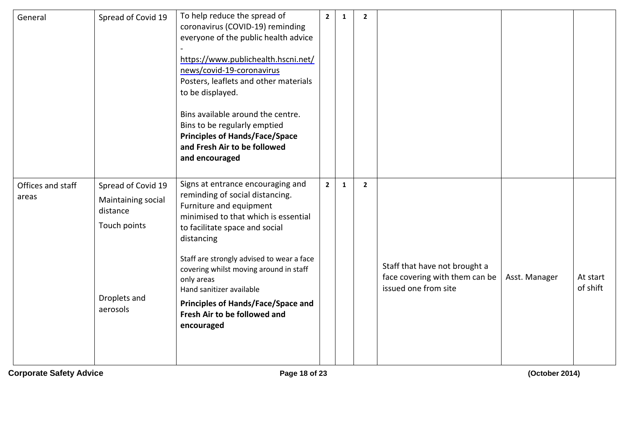| General                    | Spread of Covid 19                                                                               | To help reduce the spread of<br>coronavirus (COVID-19) reminding<br>everyone of the public health advice<br>https://www.publichealth.hscni.net/<br>news/covid-19-coronavirus<br>Posters, leaflets and other materials<br>to be displayed.<br>Bins available around the centre.<br>Bins to be regularly emptied<br><b>Principles of Hands/Face/Space</b><br>and Fresh Air to be followed<br>and encouraged    | $\overline{2}$ | $\mathbf{1}$ | $\overline{2}$ |                                                                                         |               |                      |
|----------------------------|--------------------------------------------------------------------------------------------------|--------------------------------------------------------------------------------------------------------------------------------------------------------------------------------------------------------------------------------------------------------------------------------------------------------------------------------------------------------------------------------------------------------------|----------------|--------------|----------------|-----------------------------------------------------------------------------------------|---------------|----------------------|
| Offices and staff<br>areas | Spread of Covid 19<br>Maintaining social<br>distance<br>Touch points<br>Droplets and<br>aerosols | Signs at entrance encouraging and<br>reminding of social distancing.<br>Furniture and equipment<br>minimised to that which is essential<br>to facilitate space and social<br>distancing<br>Staff are strongly advised to wear a face<br>covering whilst moving around in staff<br>only areas<br>Hand sanitizer available<br>Principles of Hands/Face/Space and<br>Fresh Air to be followed and<br>encouraged | $\overline{2}$ | $\mathbf{1}$ | $\overline{2}$ | Staff that have not brought a<br>face covering with them can be<br>issued one from site | Asst. Manager | At start<br>of shift |

**Corporate Safety Advice Page 18 of 23 (October 2014)**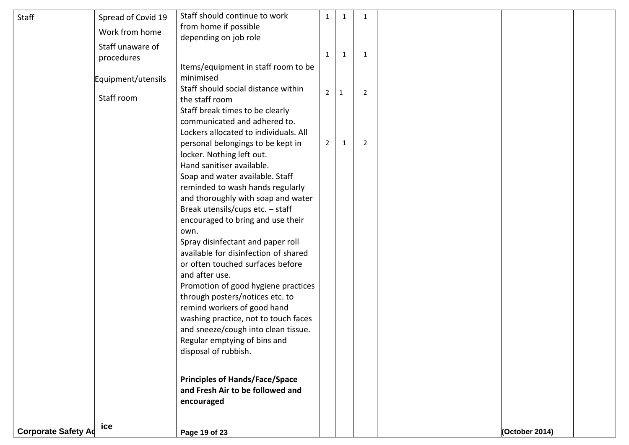| <b>Staff</b>               | Spread of Covid 19 | Staff should continue to work                                               | 1              | 1            | 1              |                |  |
|----------------------------|--------------------|-----------------------------------------------------------------------------|----------------|--------------|----------------|----------------|--|
|                            | Work from home     | from home if possible                                                       |                |              |                |                |  |
|                            | Staff unaware of   | depending on job role                                                       |                |              |                |                |  |
|                            | procedures         |                                                                             | 1              | 1            | -1             |                |  |
|                            |                    | Items/equipment in staff room to be                                         |                |              |                |                |  |
|                            | Equipment/utensils | minimised                                                                   |                |              |                |                |  |
|                            | Staff room         | Staff should social distance within                                         | $\overline{2}$ | $\mathbf{1}$ | 2              |                |  |
|                            |                    | the staff room                                                              |                |              |                |                |  |
|                            |                    | Staff break times to be clearly<br>communicated and adhered to.             |                |              |                |                |  |
|                            |                    | Lockers allocated to individuals. All                                       |                |              |                |                |  |
|                            |                    | personal belongings to be kept in                                           | $2^{\circ}$    | 1            | $\overline{2}$ |                |  |
|                            |                    | locker. Nothing left out.                                                   |                |              |                |                |  |
|                            |                    | Hand sanitiser available.                                                   |                |              |                |                |  |
|                            |                    | Soap and water available. Staff                                             |                |              |                |                |  |
|                            |                    | reminded to wash hands regularly                                            |                |              |                |                |  |
|                            |                    | and thoroughly with soap and water                                          |                |              |                |                |  |
|                            |                    | Break utensils/cups etc. - staff<br>encouraged to bring and use their       |                |              |                |                |  |
|                            |                    | own.                                                                        |                |              |                |                |  |
|                            |                    | Spray disinfectant and paper roll                                           |                |              |                |                |  |
|                            |                    | available for disinfection of shared                                        |                |              |                |                |  |
|                            |                    | or often touched surfaces before                                            |                |              |                |                |  |
|                            |                    | and after use.                                                              |                |              |                |                |  |
|                            |                    | Promotion of good hygiene practices                                         |                |              |                |                |  |
|                            |                    | through posters/notices etc. to                                             |                |              |                |                |  |
|                            |                    | remind workers of good hand                                                 |                |              |                |                |  |
|                            |                    | washing practice, not to touch faces<br>and sneeze/cough into clean tissue. |                |              |                |                |  |
|                            |                    | Regular emptying of bins and                                                |                |              |                |                |  |
|                            |                    | disposal of rubbish.                                                        |                |              |                |                |  |
|                            |                    |                                                                             |                |              |                |                |  |
|                            |                    | <b>Principles of Hands/Face/Space</b>                                       |                |              |                |                |  |
|                            |                    | and Fresh Air to be followed and                                            |                |              |                |                |  |
|                            |                    | encouraged                                                                  |                |              |                |                |  |
|                            |                    |                                                                             |                |              |                |                |  |
| <b>Corporate Safety Ad</b> | ice                | Page 19 of 23                                                               |                |              |                | (October 2014) |  |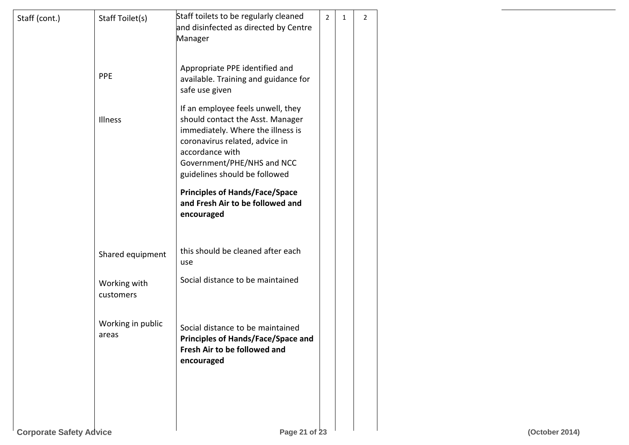| Staff (cont.)                  | Staff Toilet(s)            | Staff toilets to be regularly cleaned<br>and disinfected as directed by Centre<br>Manager                                                                                                                                      | $\overline{2}$ | $\mathbf{1}$ | $\overline{2}$ |                |
|--------------------------------|----------------------------|--------------------------------------------------------------------------------------------------------------------------------------------------------------------------------------------------------------------------------|----------------|--------------|----------------|----------------|
|                                | <b>PPE</b>                 | Appropriate PPE identified and<br>available. Training and guidance for<br>safe use given                                                                                                                                       |                |              |                |                |
|                                | Illness                    | If an employee feels unwell, they<br>should contact the Asst. Manager<br>immediately. Where the illness is<br>coronavirus related, advice in<br>accordance with<br>Government/PHE/NHS and NCC<br>guidelines should be followed |                |              |                |                |
|                                |                            | <b>Principles of Hands/Face/Space</b><br>and Fresh Air to be followed and<br>encouraged                                                                                                                                        |                |              |                |                |
|                                | Shared equipment           | this should be cleaned after each<br>use                                                                                                                                                                                       |                |              |                |                |
|                                | Working with<br>customers  | Social distance to be maintained                                                                                                                                                                                               |                |              |                |                |
|                                | Working in public<br>areas | Social distance to be maintained<br><b>Principles of Hands/Face/Space and</b><br>Fresh Air to be followed and<br>encouraged                                                                                                    |                |              |                |                |
|                                |                            |                                                                                                                                                                                                                                |                |              |                |                |
| <b>Corporate Safety Advice</b> |                            | Page 21 of 23                                                                                                                                                                                                                  |                |              |                | (October 2014) |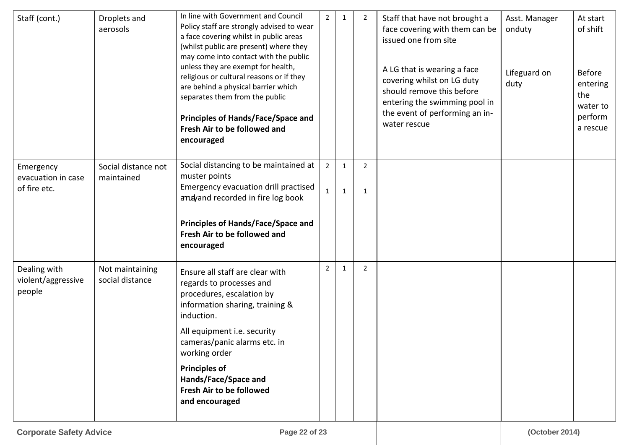| Staff (cont.)                                | Droplets and<br>aerosols           | In line with Government and Council<br>Policy staff are strongly advised to wear<br>a face covering whilst in public areas<br>(whilst public are present) where they<br>may come into contact with the public<br>unless they are exempt for health,<br>religious or cultural reasons or if they<br>are behind a physical barrier which<br>separates them from the public<br><b>Principles of Hands/Face/Space and</b><br>Fresh Air to be followed and<br>encouraged | $2^{\circ}$    | $\mathbf{1}$ | 2              | Staff that have not brought a<br>face covering with them can be<br>issued one from site<br>A LG that is wearing a face<br>covering whilst on LG duty<br>should remove this before<br>entering the swimming pool in<br>the event of performing an in-<br>water rescue | Asst. Manager<br>onduty<br>Lifeguard on<br>duty | At start<br>of shift<br><b>Before</b><br>entering<br>the<br>water to<br>perform<br>a rescue |
|----------------------------------------------|------------------------------------|---------------------------------------------------------------------------------------------------------------------------------------------------------------------------------------------------------------------------------------------------------------------------------------------------------------------------------------------------------------------------------------------------------------------------------------------------------------------|----------------|--------------|----------------|----------------------------------------------------------------------------------------------------------------------------------------------------------------------------------------------------------------------------------------------------------------------|-------------------------------------------------|---------------------------------------------------------------------------------------------|
| Emergency<br>evacuation in case              | Social distance not<br>maintained  | Social distancing to be maintained at<br>muster points                                                                                                                                                                                                                                                                                                                                                                                                              | $2^{\circ}$    | $\mathbf{1}$ | $\overline{2}$ |                                                                                                                                                                                                                                                                      |                                                 |                                                                                             |
| of fire etc.                                 |                                    | Emergency evacuation drill practised<br>andyand recorded in fire log book                                                                                                                                                                                                                                                                                                                                                                                           | 1              | 1            | $\mathbf{1}$   |                                                                                                                                                                                                                                                                      |                                                 |                                                                                             |
|                                              |                                    | <b>Principles of Hands/Face/Space and</b><br>Fresh Air to be followed and<br>encouraged                                                                                                                                                                                                                                                                                                                                                                             |                |              |                |                                                                                                                                                                                                                                                                      |                                                 |                                                                                             |
| Dealing with<br>violent/aggressive<br>people | Not maintaining<br>social distance | Ensure all staff are clear with<br>regards to processes and<br>procedures, escalation by<br>information sharing, training &<br>induction.                                                                                                                                                                                                                                                                                                                           | $\overline{2}$ | $\mathbf{1}$ | 2              |                                                                                                                                                                                                                                                                      |                                                 |                                                                                             |
|                                              |                                    | All equipment i.e. security<br>cameras/panic alarms etc. in<br>working order                                                                                                                                                                                                                                                                                                                                                                                        |                |              |                |                                                                                                                                                                                                                                                                      |                                                 |                                                                                             |
|                                              |                                    | <b>Principles of</b><br>Hands/Face/Space and<br>Fresh Air to be followed<br>and encouraged                                                                                                                                                                                                                                                                                                                                                                          |                |              |                |                                                                                                                                                                                                                                                                      |                                                 |                                                                                             |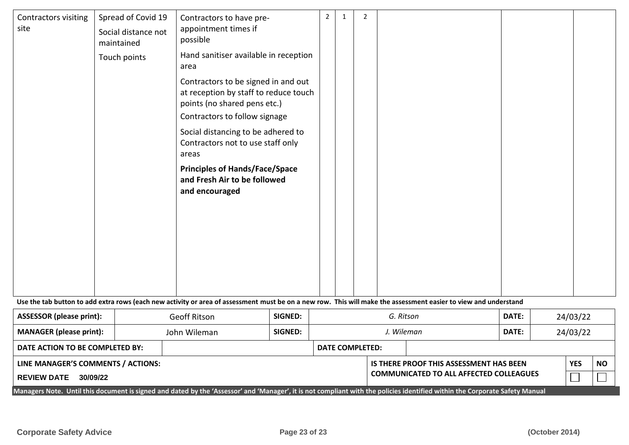| Contractors visiting<br>site    | Spread of Covid 19<br>Social distance not<br>maintained<br>Touch points | Contractors to have pre-<br>appointment times if<br>possible<br>Hand sanitiser available in reception<br>area<br>Contractors to be signed in and out<br>at reception by staff to reduce touch<br>points (no shared pens etc.)<br>Contractors to follow signage<br>Social distancing to be adhered to<br>Contractors not to use staff only<br>areas<br><b>Principles of Hands/Face/Space</b><br>and Fresh Air to be followed<br>and encouraged |                | 2         | 1          | $\overline{2}$         |       |          |  |          |  |  |
|---------------------------------|-------------------------------------------------------------------------|-----------------------------------------------------------------------------------------------------------------------------------------------------------------------------------------------------------------------------------------------------------------------------------------------------------------------------------------------------------------------------------------------------------------------------------------------|----------------|-----------|------------|------------------------|-------|----------|--|----------|--|--|
|                                 |                                                                         | Use the tab button to add extra rows (each new activity or area of assessment must be on a new row. This will make the assessment easier to view and understand                                                                                                                                                                                                                                                                               |                |           |            |                        |       |          |  |          |  |  |
|                                 |                                                                         |                                                                                                                                                                                                                                                                                                                                                                                                                                               |                |           |            |                        |       |          |  |          |  |  |
| <b>ASSESSOR (please print):</b> |                                                                         | Geoff Ritson                                                                                                                                                                                                                                                                                                                                                                                                                                  | SIGNED:        | G. Ritson |            |                        | DATE: | 24/03/22 |  |          |  |  |
| <b>MANAGER (please print):</b>  |                                                                         | John Wileman                                                                                                                                                                                                                                                                                                                                                                                                                                  | <b>SIGNED:</b> |           | J. Wileman |                        |       | DATE:    |  | 24/03/22 |  |  |
| DATE ACTION TO BE COMPLETED BY: |                                                                         |                                                                                                                                                                                                                                                                                                                                                                                                                                               |                |           |            | <b>DATE COMPLETED:</b> |       |          |  |          |  |  |

| LINE MANAGER'S COMMENTS / ACTIONS: |  |
|------------------------------------|--|
|------------------------------------|--|

| <b>REVIEW DATE</b> | 30/09/22 |
|--------------------|----------|
|--------------------|----------|

**IS THERE PROOF THIS ASSESSMENT HAS BEEN COMMUNICATED TO ALL AFFECTED COLLEAGUES**

| YES | <b>NO</b> |  |  |  |
|-----|-----------|--|--|--|
|     |           |  |  |  |

Managers Note. Until this document is signed and dated by the 'Assessor' and 'Manager', it is not compliant with the policies identified within the Corporate Safety Manual